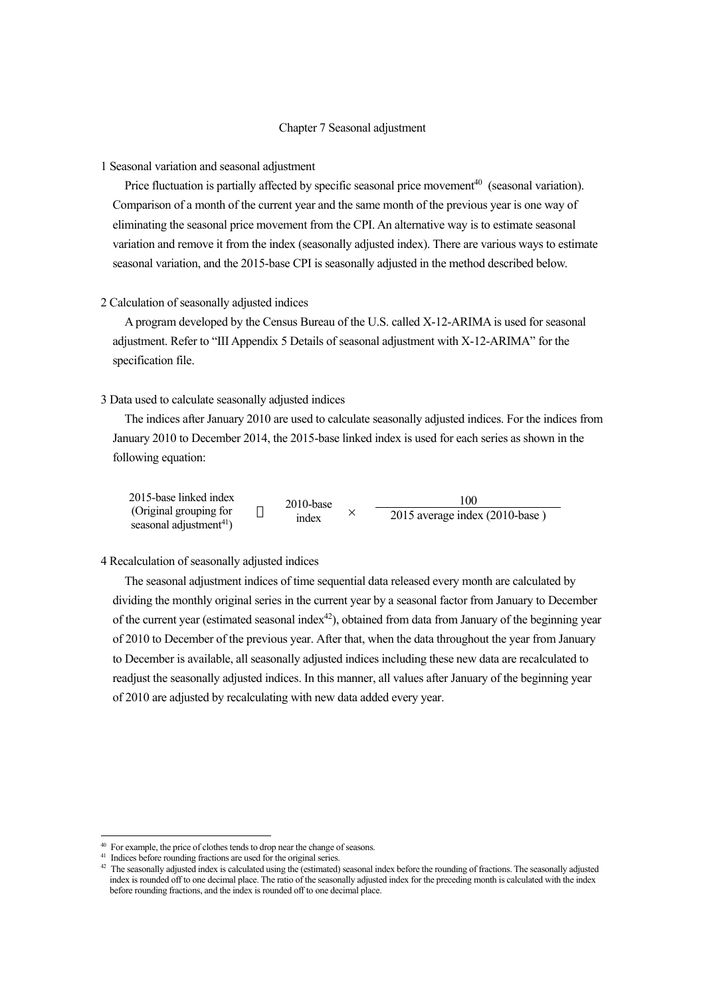# Chapter 7 Seasonal adjustment

## 1 Seasonal variation and seasonal adjustment

Price fluctuation is partially affected by specific seasonal price movement $40$  (seasonal variation). Comparison of a month of the current year and the same month of the previous year is one way of eliminating the seasonal price movement from the CPI. An alternative way is to estimate seasonal variation and remove it from the index (seasonally adjusted index). There are various ways to estimate seasonal variation, and the 2015-base CPI is seasonally adjusted in the method described below.

#### 2 Calculation of seasonally adjusted indices

A program developed by the Census Bureau of the U.S. called X-12-ARIMA is used for seasonal adjustment. Refer to "III Appendix 5 Details of seasonal adjustment with X-12-ARIMA" for the specification file.

# 3 Data used to calculate seasonally adjusted indices

The indices after January 2010 are used to calculate seasonally adjusted indices. For the indices from January 2010 to December 2014, the 2015-base linked index is used for each series as shown in the following equation:

| 2015-base linked index              | $2010$ -base | 100                            |
|-------------------------------------|--------------|--------------------------------|
| (Original grouping for              | index        | 2015 average index (2010-base) |
| seasonal adjustment <sup>41</sup> ) |              |                                |

## 4 Recalculation of seasonally adjusted indices

The seasonal adjustment indices of time sequential data released every month are calculated by dividing the monthly original series in the current year by a seasonal factor from January to December of the current year (estimated seasonal index<sup>42</sup>), obtained from data from January of the beginning year of 2010 to December of the previous year. After that, when the data throughout the year from January to December is available, all seasonally adjusted indices including these new data are recalculated to readjust the seasonally adjusted indices. In this manner, all values after January of the beginning year of 2010 are adjusted by recalculating with new data added every year.

-

<span id="page-0-0"></span> $40$  For example, the price of clothes tends to drop near the change of seasons.<br> $41$  Indices before rounding fractions are used for the original series.

<span id="page-0-2"></span><span id="page-0-1"></span>

<sup>&</sup>lt;sup>42</sup> The seasonally adjusted index is calculated using the (estimated) seasonal index before the rounding of fractions. The seasonally adjusted index is rounded off to one decimal place. The ratio of the seasonally adjusted index for the preceding month is calculated with the index before rounding fractions, and the index is rounded off to one decimal place.